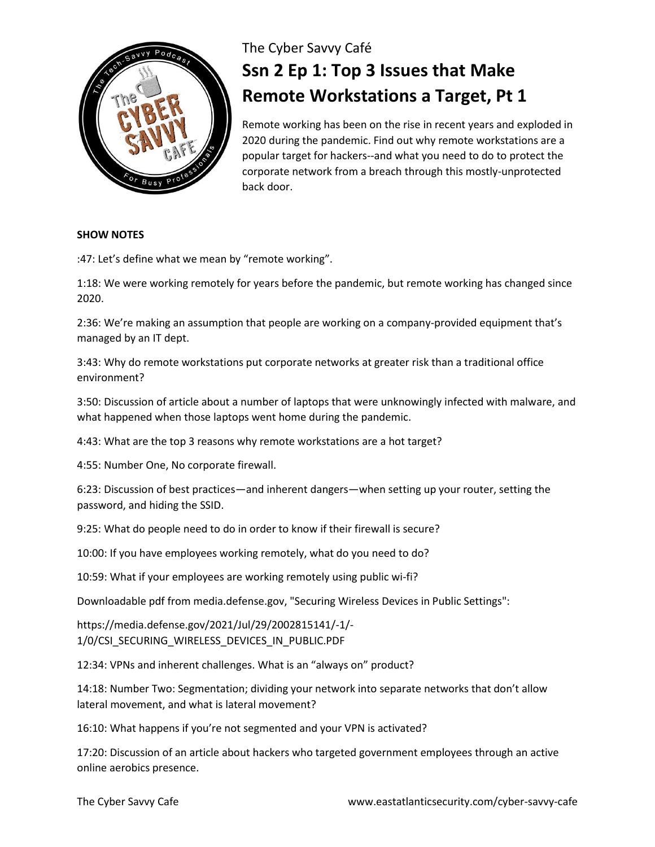

## The Cyber Savvy Café **Ssn 2 Ep 1: Top 3 Issues that Make Remote Workstations a Target, Pt 1**

Remote working has been on the rise in recent years and exploded in 2020 during the pandemic. Find out why remote workstations are a popular target for hackers--and what you need to do to protect the corporate network from a breach through this mostly-unprotected back door.

## **SHOW NOTES**

:47: Let's define what we mean by "remote working".

1:18: We were working remotely for years before the pandemic, but remote working has changed since 2020.

2:36: We're making an assumption that people are working on a company-provided equipment that's managed by an IT dept.

3:43: Why do remote workstations put corporate networks at greater risk than a traditional office environment?

3:50: Discussion of article about a number of laptops that were unknowingly infected with malware, and what happened when those laptops went home during the pandemic.

4:43: What are the top 3 reasons why remote workstations are a hot target?

4:55: Number One, No corporate firewall.

6:23: Discussion of best practices—and inherent dangers—when setting up your router, setting the password, and hiding the SSID.

9:25: What do people need to do in order to know if their firewall is secure?

10:00: If you have employees working remotely, what do you need to do?

10:59: What if your employees are working remotely using public wi-fi?

Downloadable pdf from media.defense.gov, "Securing Wireless Devices in Public Settings":

https://media.defense.gov/2021/Jul/29/2002815141/-1/- 1/0/CSI\_SECURING\_WIRELESS\_DEVICES\_IN\_PUBLIC.PDF

12:34: VPNs and inherent challenges. What is an "always on" product?

14:18: Number Two: Segmentation; dividing your network into separate networks that don't allow lateral movement, and what is lateral movement?

16:10: What happens if you're not segmented and your VPN is activated?

17:20: Discussion of an article about hackers who targeted government employees through an active online aerobics presence.